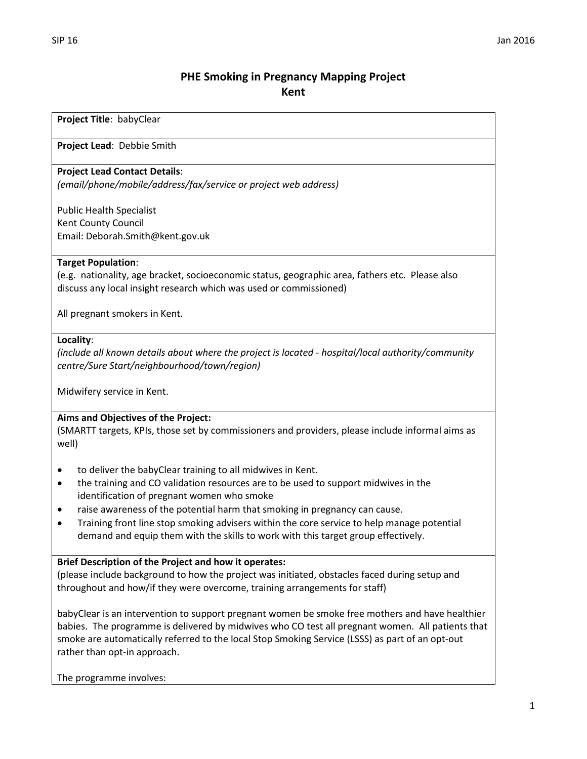# **PHE Smoking in Pregnancy Mapping Project Kent**

### **Project Title**: babyClear

**Project Lead**: Debbie Smith

## **Project Lead Contact Details**:

*(email/phone/mobile/address/fax/service or project web address)*

Public Health Specialist Kent County Council Email: Deborah.Smith@kent.gov.uk

## **Target Population**:

(e.g. nationality, age bracket, socioeconomic status, geographic area, fathers etc. Please also discuss any local insight research which was used or commissioned)

All pregnant smokers in Kent.

### **Locality**:

*(include all known details about where the project is located - hospital/local authority/community centre/Sure Start/neighbourhood/town/region)*

Midwifery service in Kent.

# **Aims and Objectives of the Project:**

(SMARTT targets, KPIs, those set by commissioners and providers, please include informal aims as well)

- to deliver the babyClear training to all midwives in Kent.
- the training and CO validation resources are to be used to support midwives in the identification of pregnant women who smoke
- raise awareness of the potential harm that smoking in pregnancy can cause.
- Training front line stop smoking advisers within the core service to help manage potential demand and equip them with the skills to work with this target group effectively.

### **Brief Description of the Project and how it operates:**

(please include background to how the project was initiated, obstacles faced during setup and throughout and how/if they were overcome, training arrangements for staff)

babyClear is an intervention to support pregnant women be smoke free mothers and have healthier babies. The programme is delivered by midwives who CO test all pregnant women. All patients that smoke are automatically referred to the local Stop Smoking Service (LSSS) as part of an opt-out rather than opt-in approach.

The programme involves: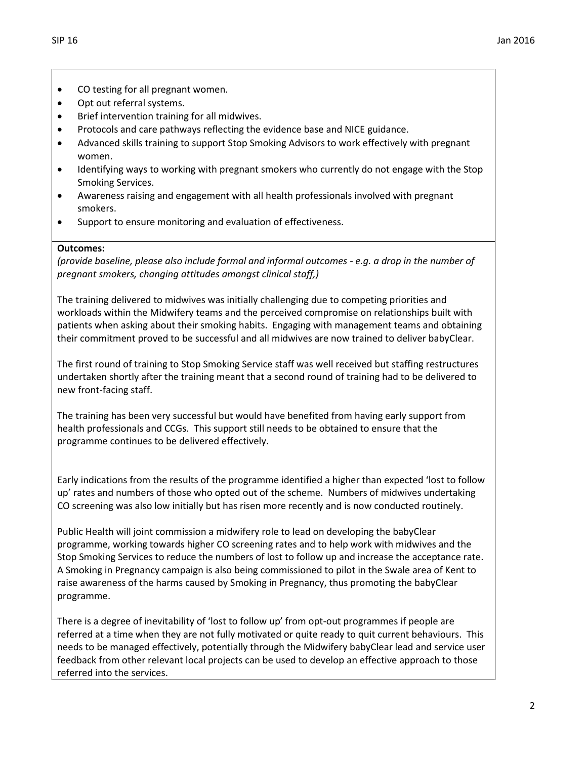- CO testing for all pregnant women.
- Opt out referral systems.
- Brief intervention training for all midwives.
- Protocols and care pathways reflecting the evidence base and NICE guidance.
- Advanced skills training to support Stop Smoking Advisors to work effectively with pregnant women.
- Identifying ways to working with pregnant smokers who currently do not engage with the Stop Smoking Services.
- Awareness raising and engagement with all health professionals involved with pregnant smokers.
- Support to ensure monitoring and evaluation of effectiveness.

# **Outcomes:**

*(provide baseline, please also include formal and informal outcomes - e.g. a drop in the number of pregnant smokers, changing attitudes amongst clinical staff,)*

The training delivered to midwives was initially challenging due to competing priorities and workloads within the Midwifery teams and the perceived compromise on relationships built with patients when asking about their smoking habits. Engaging with management teams and obtaining their commitment proved to be successful and all midwives are now trained to deliver babyClear.

The first round of training to Stop Smoking Service staff was well received but staffing restructures undertaken shortly after the training meant that a second round of training had to be delivered to new front-facing staff.

The training has been very successful but would have benefited from having early support from health professionals and CCGs. This support still needs to be obtained to ensure that the programme continues to be delivered effectively.

Early indications from the results of the programme identified a higher than expected 'lost to follow up' rates and numbers of those who opted out of the scheme. Numbers of midwives undertaking CO screening was also low initially but has risen more recently and is now conducted routinely.

Public Health will joint commission a midwifery role to lead on developing the babyClear programme, working towards higher CO screening rates and to help work with midwives and the Stop Smoking Services to reduce the numbers of lost to follow up and increase the acceptance rate. A Smoking in Pregnancy campaign is also being commissioned to pilot in the Swale area of Kent to raise awareness of the harms caused by Smoking in Pregnancy, thus promoting the babyClear programme.

There is a degree of inevitability of 'lost to follow up' from opt-out programmes if people are referred at a time when they are not fully motivated or quite ready to quit current behaviours. This needs to be managed effectively, potentially through the Midwifery babyClear lead and service user feedback from other relevant local projects can be used to develop an effective approach to those referred into the services.